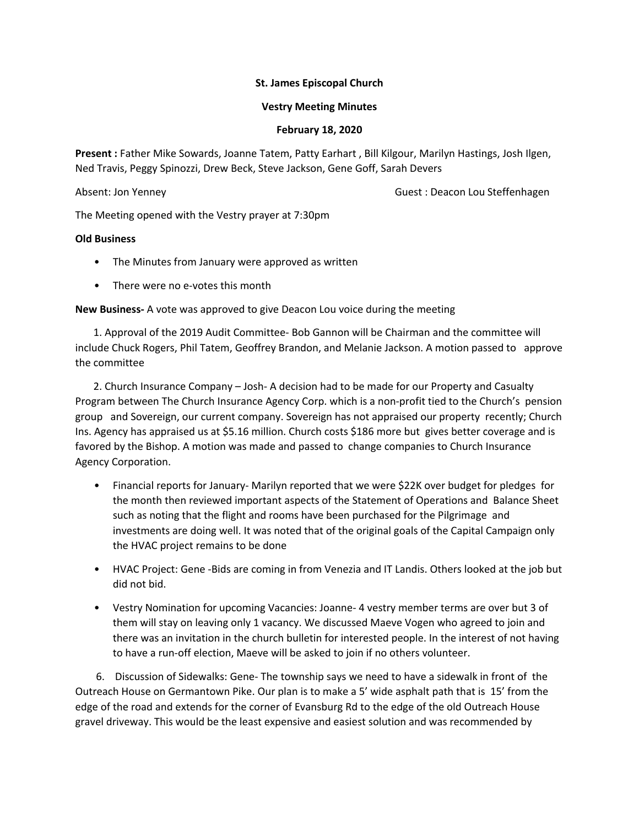# **St. James Episcopal Church**

# **Vestry Meeting Minutes**

### **February 18, 2020**

**Present :** Father Mike Sowards, Joanne Tatem, Patty Earhart , Bill Kilgour, Marilyn Hastings, Josh Ilgen, Ned Travis, Peggy Spinozzi, Drew Beck, Steve Jackson, Gene Goff, Sarah Devers

Absent: Jon Yenney **Guest : Deacon Lou Steffenhagen** 

The Meeting opened with the Vestry prayer at 7:30pm

# **Old Business**

- The Minutes from January were approved as written
- There were no e-votes this month

**New Business-** A vote was approved to give Deacon Lou voice during the meeting

 1. Approval of the 2019 Audit Committee- Bob Gannon will be Chairman and the committee will include Chuck Rogers, Phil Tatem, Geoffrey Brandon, and Melanie Jackson. A motion passed to approve the committee

 2. Church Insurance Company – Josh- A decision had to be made for our Property and Casualty Program between The Church Insurance Agency Corp. which is a non-profit tied to the Church's pension group and Sovereign, our current company. Sovereign has not appraised our property recently; Church Ins. Agency has appraised us at \$5.16 million. Church costs \$186 more but gives better coverage and is favored by the Bishop. A motion was made and passed to change companies to Church Insurance Agency Corporation.

- Financial reports for January- Marilyn reported that we were \$22K over budget for pledges for the month then reviewed important aspects of the Statement of Operations and Balance Sheet such as noting that the flight and rooms have been purchased for the Pilgrimage and investments are doing well. It was noted that of the original goals of the Capital Campaign only the HVAC project remains to be done
- HVAC Project: Gene -Bids are coming in from Venezia and IT Landis. Others looked at the job but did not bid.
- Vestry Nomination for upcoming Vacancies: Joanne- 4 vestry member terms are over but 3 of them will stay on leaving only 1 vacancy. We discussed Maeve Vogen who agreed to join and there was an invitation in the church bulletin for interested people. In the interest of not having to have a run-off election, Maeve will be asked to join if no others volunteer.

 6. Discussion of Sidewalks: Gene- The township says we need to have a sidewalk in front of the Outreach House on Germantown Pike. Our plan is to make a 5' wide asphalt path that is 15' from the edge of the road and extends for the corner of Evansburg Rd to the edge of the old Outreach House gravel driveway. This would be the least expensive and easiest solution and was recommended by